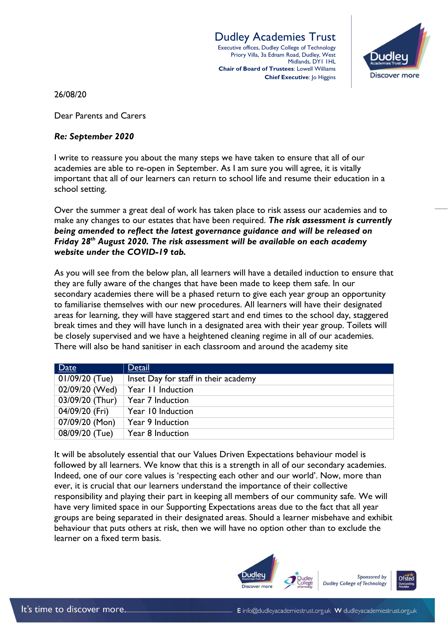Dudley Academies Trust Executive offices, Dudley College of Technology Priory Villa, 3a Ednam Road, Dudley, West Midlands, DY1 1HL **Chair of Board of Trustees**: Lowell Williams **Chief Executive: Jo Higgins** 



26/08/20

Dear Parents and Carers

## *Re: September 2020*

I write to reassure you about the many steps we have taken to ensure that all of our academies are able to re-open in September. As I am sure you will agree, it is vitally important that all of our learners can return to school life and resume their education in a school setting.

Over the summer a great deal of work has taken place to risk assess our academies and to make any changes to our estates that have been required. *The risk assessment is currently being amended to reflect the latest governance guidance and will be released on Friday 28th August 2020. The risk assessment will be available on each academy website under the COVID-19 tab.*

As you will see from the below plan, all learners will have a detailed induction to ensure that they are fully aware of the changes that have been made to keep them safe. In our secondary academies there will be a phased return to give each year group an opportunity to familiarise themselves with our new procedures. All learners will have their designated areas for learning, they will have staggered start and end times to the school day, staggered break times and they will have lunch in a designated area with their year group. Toilets will be closely supervised and we have a heightened cleaning regime in all of our academies. There will also be hand sanitiser in each classroom and around the academy site

| Date            | Detail                               |
|-----------------|--------------------------------------|
| 01/09/20 (Tue)  | Inset Day for staff in their academy |
| 02/09/20 (Wed)  | Year 11 Induction                    |
| 03/09/20 (Thur) | Year 7 Induction                     |
| 04/09/20 (Fri)  | Year 10 Induction                    |
| 07/09/20 (Mon)  | Year 9 Induction                     |
| 08/09/20 (Tue)  | Year 8 Induction                     |

It will be absolutely essential that our Values Driven Expectations behaviour model is followed by all learners. We know that this is a strength in all of our secondary academies. Indeed, one of our core values is 'respecting each other and our world'. Now, more than ever, it is crucial that our learners understand the importance of their collective responsibility and playing their part in keeping all members of our community safe. We will have very limited space in our Supporting Expectations areas due to the fact that all year groups are being separated in their designated areas. Should a learner misbehave and exhibit behaviour that puts others at risk, then we will have no option other than to exclude the learner on a fixed term basis.